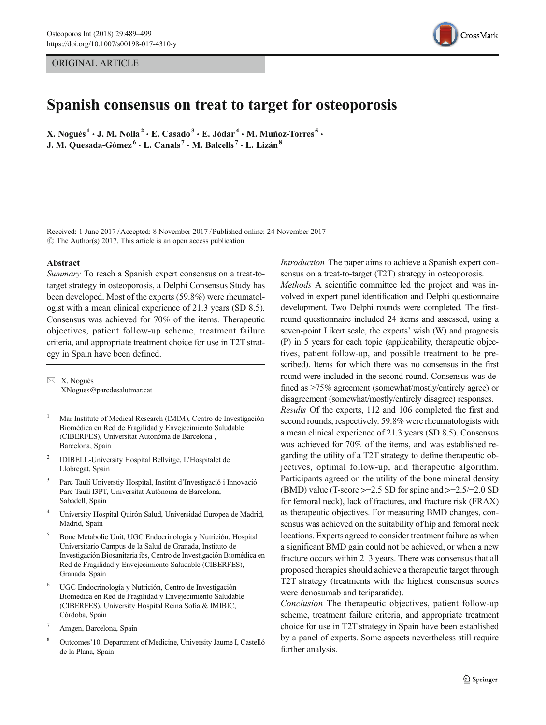ORIGINAL ARTICLE



# Spanish consensus on treat to target for osteoporosis

X. Nogués<sup>1</sup> • J. M. Nolla<sup>2</sup> • E. Casado<sup>3</sup> • E. Jódar<sup>4</sup> • M. Muñoz-Torres<sup>5</sup> • J. M. Quesada-Gómez<sup>6</sup> · L. Canals<sup>7</sup> · M. Balcells<sup>7</sup> · L. Lizán<sup>8</sup>

Received: 1 June 2017 /Accepted: 8 November 2017 /Published online: 24 November 2017  $\circ$  The Author(s) 2017. This article is an open access publication

#### Abstract

Summary To reach a Spanish expert consensus on a treat-totarget strategy in osteoporosis, a Delphi Consensus Study has been developed. Most of the experts (59.8%) were rheumatologist with a mean clinical experience of 21.3 years (SD 8.5). Consensus was achieved for 70% of the items. Therapeutic objectives, patient follow-up scheme, treatment failure criteria, and appropriate treatment choice for use in T2T strategy in Spain have been defined.

 $\boxtimes$  X. Nogués [XNogues@parcdesalutmar.cat](mailto:XNogues@parcdesalutmar.cat)

- <sup>1</sup> Mar Institute of Medical Research (IMIM), Centro de Investigación Biomédica en Red de Fragilidad y Envejecimiento Saludable (CIBERFES), Universitat Autonòma de Barcelona , Barcelona, Spain
- <sup>2</sup> IDIBELL-University Hospital Bellvitge, L'Hospitalet de Llobregat, Spain
- <sup>3</sup> Parc Taulí Universtiy Hospital, Institut d'Investigació i Innovació Parc Taulí I3PT, Universitat Autònoma de Barcelona, Sabadell, Spain
- <sup>4</sup> University Hospital Quirón Salud, Universidad Europea de Madrid, Madrid, Spain
- <sup>5</sup> Bone Metabolic Unit, UGC Endocrinología y Nutrición, Hospital Universitario Campus de la Salud de Granada, Instituto de Investigación Biosanitaria ibs, Centro de Investigación Biomédica en Red de Fragilidad y Envejecimiento Saludable (CIBERFES), Granada, Spain
- <sup>6</sup> UGC Endocrinología y Nutrición, Centro de Investigación Biomédica en Red de Fragilidad y Envejecimiento Saludable (CIBERFES), University Hospital Reina Sofía & IMIBIC, Córdoba, Spain
- Amgen, Barcelona, Spain
- <sup>8</sup> Outcomes'10, Department of Medicine, University Jaume I, Castelló de la Plana, Spain

Introduction The paper aims to achieve a Spanish expert consensus on a treat-to-target (T2T) strategy in osteoporosis. Methods A scientific committee led the project and was involved in expert panel identification and Delphi questionnaire development. Two Delphi rounds were completed. The firstround questionnaire included 24 items and assessed, using a seven-point Likert scale, the experts' wish (W) and prognosis (P) in 5 years for each topic (applicability, therapeutic objectives, patient follow-up, and possible treatment to be prescribed). Items for which there was no consensus in the first round were included in the second round. Consensus was defined as ≥75% agreement (somewhat/mostly/entirely agree) or disagreement (somewhat/mostly/entirely disagree) responses.

Results Of the experts, 112 and 106 completed the first and second rounds, respectively. 59.8% were rheumatologists with a mean clinical experience of 21.3 years (SD 8.5). Consensus was achieved for 70% of the items, and was established regarding the utility of a T2T strategy to define therapeutic objectives, optimal follow-up, and therapeutic algorithm. Participants agreed on the utility of the bone mineral density (BMD) value (T-score >−2.5 SD for spine and >−2.5/−2.0 SD for femoral neck), lack of fractures, and fracture risk (FRAX) as therapeutic objectives. For measuring BMD changes, consensus was achieved on the suitability of hip and femoral neck locations. Experts agreed to consider treatment failure as when a significant BMD gain could not be achieved, or when a new fracture occurs within 2–3 years. There was consensus that all proposed therapies should achieve a therapeutic target through T2T strategy (treatments with the highest consensus scores were denosumab and teriparatide).

Conclusion The therapeutic objectives, patient follow-up scheme, treatment failure criteria, and appropriate treatment choice for use in T2T strategy in Spain have been established by a panel of experts. Some aspects nevertheless still require further analysis.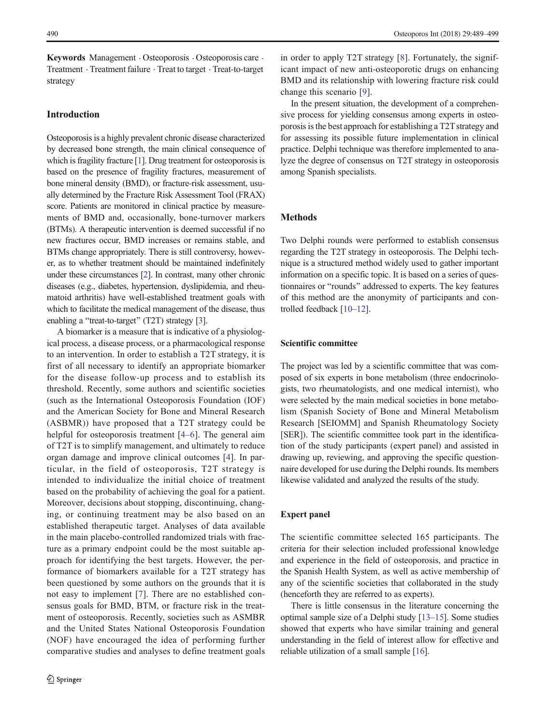Keywords Management . Osteoporosis . Osteoporosis care . Treatment . Treatment failure . Treat to target . Treat-to-target strategy

## Introduction

Osteoporosis is a highly prevalent chronic disease characterized by decreased bone strength, the main clinical consequence of which is fragility fracture [\[1\]](#page-9-0). Drug treatment for osteoporosis is based on the presence of fragility fractures, measurement of bone mineral density (BMD), or fracture-risk assessment, usually determined by the Fracture Risk Assessment Tool (FRAX) score. Patients are monitored in clinical practice by measurements of BMD and, occasionally, bone-turnover markers (BTMs). A therapeutic intervention is deemed successful if no new fractures occur, BMD increases or remains stable, and BTMs change appropriately. There is still controversy, however, as to whether treatment should be maintained indefinitely under these circumstances [\[2](#page-9-0)]. In contrast, many other chronic diseases (e.g., diabetes, hypertension, dyslipidemia, and rheumatoid arthritis) have well-established treatment goals with which to facilitate the medical management of the disease, thus enabling a "treat-to-target" (T2T) strategy  $[3]$  $[3]$  $[3]$ .

A biomarker is a measure that is indicative of a physiological process, a disease process, or a pharmacological response to an intervention. In order to establish a T2T strategy, it is first of all necessary to identify an appropriate biomarker for the disease follow-up process and to establish its threshold. Recently, some authors and scientific societies (such as the International Osteoporosis Foundation (IOF) and the American Society for Bone and Mineral Research (ASBMR)) have proposed that a T2T strategy could be helpful for osteoporosis treatment [\[4](#page-9-0)–[6\]](#page-9-0). The general aim of T2T is to simplify management, and ultimately to reduce organ damage and improve clinical outcomes [[4\]](#page-9-0). In particular, in the field of osteoporosis, T2T strategy is intended to individualize the initial choice of treatment based on the probability of achieving the goal for a patient. Moreover, decisions about stopping, discontinuing, changing, or continuing treatment may be also based on an established therapeutic target. Analyses of data available in the main placebo-controlled randomized trials with fracture as a primary endpoint could be the most suitable approach for identifying the best targets. However, the performance of biomarkers available for a T2T strategy has been questioned by some authors on the grounds that it is not easy to implement [[7](#page-9-0)]. There are no established consensus goals for BMD, BTM, or fracture risk in the treatment of osteoporosis. Recently, societies such as ASMBR and the United States National Osteoporosis Foundation (NOF) have encouraged the idea of performing further comparative studies and analyses to define treatment goals in order to apply T2T strategy [[8\]](#page-9-0). Fortunately, the significant impact of new anti-osteoporotic drugs on enhancing BMD and its relationship with lowering fracture risk could change this scenario [\[9](#page-9-0)].

In the present situation, the development of a comprehensive process for yielding consensus among experts in osteoporosis is the best approach for establishing a T2T strategy and for assessing its possible future implementation in clinical practice. Delphi technique was therefore implemented to analyze the degree of consensus on T2T strategy in osteoporosis among Spanish specialists.

## Methods

Two Delphi rounds were performed to establish consensus regarding the T2T strategy in osteoporosis. The Delphi technique is a structured method widely used to gather important information on a specific topic. It is based on a series of questionnaires or "rounds" addressed to experts. The key features of this method are the anonymity of participants and controlled feedback [[10](#page-9-0)–[12\]](#page-9-0).

## Scientific committee

The project was led by a scientific committee that was composed of six experts in bone metabolism (three endocrinologists, two rheumatologists, and one medical internist), who were selected by the main medical societies in bone metabolism (Spanish Society of Bone and Mineral Metabolism Research [SEIOMM] and Spanish Rheumatology Society [SER]). The scientific committee took part in the identification of the study participants (expert panel) and assisted in drawing up, reviewing, and approving the specific questionnaire developed for use during the Delphi rounds. Its members likewise validated and analyzed the results of the study.

## Expert panel

The scientific committee selected 165 participants. The criteria for their selection included professional knowledge and experience in the field of osteoporosis, and practice in the Spanish Health System, as well as active membership of any of the scientific societies that collaborated in the study (henceforth they are referred to as experts).

There is little consensus in the literature concerning the optimal sample size of a Delphi study [[13](#page-9-0)–[15](#page-9-0)]. Some studies showed that experts who have similar training and general understanding in the field of interest allow for effective and reliable utilization of a small sample [\[16](#page-9-0)].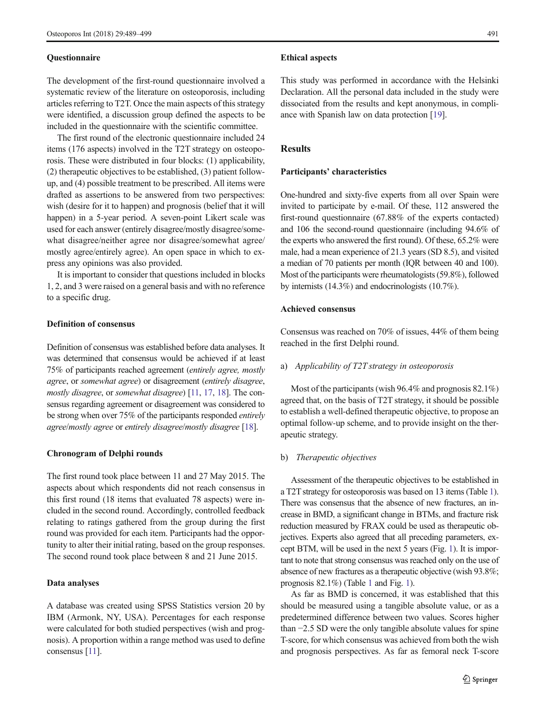### **Ouestionnaire**

The development of the first-round questionnaire involved a systematic review of the literature on osteoporosis, including articles referring to T2T. Once the main aspects of this strategy were identified, a discussion group defined the aspects to be included in the questionnaire with the scientific committee.

The first round of the electronic questionnaire included 24 items (176 aspects) involved in the T2T strategy on osteoporosis. These were distributed in four blocks: (1) applicability, (2) therapeutic objectives to be established, (3) patient followup, and (4) possible treatment to be prescribed. All items were drafted as assertions to be answered from two perspectives: wish (desire for it to happen) and prognosis (belief that it will happen) in a 5-year period. A seven-point Likert scale was used for each answer (entirely disagree/mostly disagree/somewhat disagree/neither agree nor disagree/somewhat agree/ mostly agree/entirely agree). An open space in which to express any opinions was also provided.

It is important to consider that questions included in blocks 1, 2, and 3 were raised on a general basis and with no reference to a specific drug.

## Definition of consensus

Definition of consensus was established before data analyses. It was determined that consensus would be achieved if at least 75% of participants reached agreement (entirely agree, mostly agree, or somewhat agree) or disagreement (entirely disagree, mostly disagree, or somewhat disagree) [\[11](#page-9-0), [17,](#page-9-0) [18\]](#page-9-0). The consensus regarding agreement or disagreement was considered to be strong when over 75% of the participants responded entirely agree/mostly agree or entirely disagree/mostly disagree [\[18](#page-9-0)].

## Chronogram of Delphi rounds

The first round took place between 11 and 27 May 2015. The aspects about which respondents did not reach consensus in this first round (18 items that evaluated 78 aspects) were included in the second round. Accordingly, controlled feedback relating to ratings gathered from the group during the first round was provided for each item. Participants had the opportunity to alter their initial rating, based on the group responses. The second round took place between 8 and 21 June 2015.

## Data analyses

A database was created using SPSS Statistics version 20 by IBM (Armonk, NY, USA). Percentages for each response were calculated for both studied perspectives (wish and prognosis). A proportion within a range method was used to define consensus [\[11\]](#page-9-0).

#### Ethical aspects

This study was performed in accordance with the Helsinki Declaration. All the personal data included in the study were dissociated from the results and kept anonymous, in compliance with Spanish law on data protection [\[19](#page-9-0)].

## Results

#### Participants' characteristics

One-hundred and sixty-five experts from all over Spain were invited to participate by e-mail. Of these, 112 answered the first-round questionnaire (67.88% of the experts contacted) and 106 the second-round questionnaire (including 94.6% of the experts who answered the first round). Of these, 65.2% were male, had a mean experience of 21.3 years (SD 8.5), and visited a median of 70 patients per month (IQR between 40 and 100). Most of the participants were rheumatologists (59.8%), followed by internists (14.3%) and endocrinologists (10.7%).

## Achieved consensus

Consensus was reached on 70% of issues, 44% of them being reached in the first Delphi round.

#### a) Applicability of T2T strategy in osteoporosis

Most of the participants (wish 96.4% and prognosis 82.1%) agreed that, on the basis of T2T strategy, it should be possible to establish a well-defined therapeutic objective, to propose an optimal follow-up scheme, and to provide insight on the therapeutic strategy.

### b) Therapeutic objectives

Assessment of the therapeutic objectives to be established in a T2T strategy for osteoporosis was based on 13 items (Table [1\)](#page-3-0). There was consensus that the absence of new fractures, an increase in BMD, a significant change in BTMs, and fracture risk reduction measured by FRAX could be used as therapeutic objectives. Experts also agreed that all preceding parameters, except BTM, will be used in the next 5 years (Fig. [1](#page-4-0)). It is important to note that strong consensus was reached only on the use of absence of new fractures as a therapeutic objective (wish 93.8%; prognosis 82.1%) (Table [1](#page-3-0) and Fig. [1](#page-4-0)).

As far as BMD is concerned, it was established that this should be measured using a tangible absolute value, or as a predetermined difference between two values. Scores higher than −2.5 SD were the only tangible absolute values for spine T-score, for which consensus was achieved from both the wish and prognosis perspectives. As far as femoral neck T-score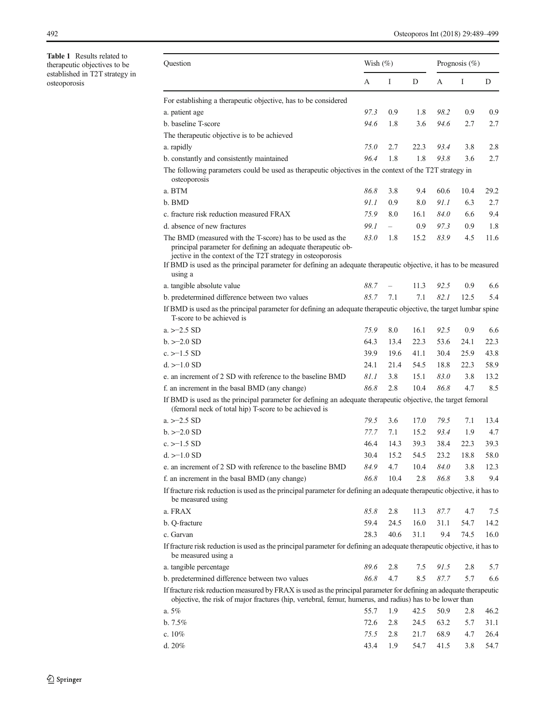<span id="page-3-0"></span>Table 1 Results related to therapeutic objectives to be established in T2T strategy in osteoporosis

| Question                                                                                                                                                                                                                                                                                                              | Wish $(\%)$ |                          |      | Prognosis $(\% )$ |      |      |
|-----------------------------------------------------------------------------------------------------------------------------------------------------------------------------------------------------------------------------------------------------------------------------------------------------------------------|-------------|--------------------------|------|-------------------|------|------|
|                                                                                                                                                                                                                                                                                                                       | A           | Ι                        | D    | А                 | Ι    | D    |
| For establishing a therapeutic objective, has to be considered                                                                                                                                                                                                                                                        |             |                          |      |                   |      |      |
| a. patient age                                                                                                                                                                                                                                                                                                        | 97.3        | 0.9                      | 1.8  | 98.2              | 0.9  | 0.9  |
| b. baseline T-score                                                                                                                                                                                                                                                                                                   | 94.6        | 1.8                      | 3.6  | 94.6              | 2.7  | 2.7  |
| The therapeutic objective is to be achieved                                                                                                                                                                                                                                                                           |             |                          |      |                   |      |      |
| a. rapidly                                                                                                                                                                                                                                                                                                            | 75.0        | 2.7                      | 22.3 | 93.4              | 3.8  | 2.8  |
| b. constantly and consistently maintained                                                                                                                                                                                                                                                                             | 96.4        | 1.8                      | 1.8  | 93.8              | 3.6  | 2.7  |
| The following parameters could be used as therapeutic objectives in the context of the T2T strategy in<br>osteoporosis                                                                                                                                                                                                |             |                          |      |                   |      |      |
| a. BTM                                                                                                                                                                                                                                                                                                                | 86.8        | 3.8                      | 9.4  | 60.6              | 10.4 | 29.2 |
| b. BMD                                                                                                                                                                                                                                                                                                                | 91.1        | 0.9                      | 8.0  | 91.1              | 6.3  | 2.7  |
| c. fracture risk reduction measured FRAX                                                                                                                                                                                                                                                                              | 75.9        | 8.0                      | 16.1 | 84.0              | 6.6  | 9.4  |
| d. absence of new fractures                                                                                                                                                                                                                                                                                           | 99.1        | $\overline{\phantom{0}}$ | 0.9  | 97.3              | 0.9  | 1.8  |
| The BMD (measured with the T-score) has to be used as the<br>principal parameter for defining an adequate therapeutic ob-<br>jective in the context of the T2T strategy in osteoporosis<br>If BMD is used as the principal parameter for defining an adequate therapeutic objective, it has to be measured<br>using a | 83.0        | 1.8                      | 15.2 | 83.9              | 4.5  | 11.6 |
| a. tangible absolute value                                                                                                                                                                                                                                                                                            | 88.7        |                          | 11.3 | 92.5              | 0.9  | 6.6  |
| b. predetermined difference between two values                                                                                                                                                                                                                                                                        | 85.7        | 7.1                      | 7.1  | 82.1              | 12.5 | 5.4  |
| If BMD is used as the principal parameter for defining an adequate therapeutic objective, the target lumbar spine<br>T-score to be achieved is                                                                                                                                                                        |             |                          |      |                   |      |      |
| $a. > -2.5 SD$                                                                                                                                                                                                                                                                                                        | 75.9        | 8.0                      | 16.1 | 92.5              | 0.9  | 6.6  |
| $b. > -2.0$ SD                                                                                                                                                                                                                                                                                                        | 64.3        | 13.4                     | 22.3 | 53.6              | 24.1 | 22.3 |
| c. $>1.5$ SD                                                                                                                                                                                                                                                                                                          | 39.9        | 19.6                     | 41.1 | 30.4              | 25.9 | 43.8 |
| $d. > -1.0$ SD                                                                                                                                                                                                                                                                                                        | 24.1        | 21.4                     | 54.5 | 18.8              | 22.3 | 58.9 |
| e. an increment of 2 SD with reference to the baseline BMD                                                                                                                                                                                                                                                            | 81.1        | 3.8                      | 15.1 | 83.0              | 3.8  | 13.2 |
| f. an increment in the basal BMD (any change)                                                                                                                                                                                                                                                                         | 86.8        | 2.8                      | 10.4 | 86.8              | 4.7  | 8.5  |
| If BMD is used as the principal parameter for defining an adequate therapeutic objective, the target femoral<br>(femoral neck of total hip) T-score to be achieved is                                                                                                                                                 |             |                          |      |                   |      |      |
| $a. > -2.5 SD$                                                                                                                                                                                                                                                                                                        | 79.5        | 3.6                      | 17.0 | 79.5              | 7.1  | 13.4 |
| $b. > -2.0$ SD                                                                                                                                                                                                                                                                                                        | 77.7        | 7.1                      | 15.2 | 93.4              | 1.9  | 4.7  |
| c. $>1.5$ SD                                                                                                                                                                                                                                                                                                          | 46.4        | 14.3                     | 39.3 | 38.4              | 22.3 | 39.3 |
| $d. > -1.0$ SD                                                                                                                                                                                                                                                                                                        | 30.4        | 15.2                     | 54.5 | 23.2              | 18.8 | 58.0 |
| e. an increment of 2 SD with reference to the baseline BMD                                                                                                                                                                                                                                                            | 84.9        | 4.7                      | 10.4 | 84.0              | 3.8  | 12.3 |
| f. an increment in the basal BMD (any change)                                                                                                                                                                                                                                                                         | 86.8        | 10.4                     | 2.8  | 86.8              | 3.8  | 9.4  |
| If fracture risk reduction is used as the principal parameter for defining an adequate therapeutic objective, it has to<br>be measured using                                                                                                                                                                          |             |                          |      |                   |      |      |
| a. FRAX                                                                                                                                                                                                                                                                                                               | 85.8        | 2.8                      | 11.3 | 87.7              | 4.7  | 7.5  |
| b. Q-fracture                                                                                                                                                                                                                                                                                                         | 59.4        | 24.5                     | 16.0 | 31.1              | 54.7 | 14.2 |
| c. Garvan                                                                                                                                                                                                                                                                                                             | 28.3        | 40.6                     | 31.1 | 9.4               | 74.5 | 16.0 |
| If fracture risk reduction is used as the principal parameter for defining an adequate therapeutic objective, it has to<br>be measured using a                                                                                                                                                                        |             |                          |      |                   |      |      |
| a. tangible percentage                                                                                                                                                                                                                                                                                                | 89.6        | 2.8                      | 7.5  | 91.5              | 2.8  | 5.7  |
| b. predetermined difference between two values                                                                                                                                                                                                                                                                        | 86.8        | 4.7                      | 8.5  | 87.7              | 5.7  | 6.6  |
| If fracture risk reduction measured by FRAX is used as the principal parameter for defining an adequate therapeutic<br>objective, the risk of major fractures (hip, vertebral, femur, humerus, and radius) has to be lower than                                                                                       |             |                          |      |                   |      |      |
| a. 5%                                                                                                                                                                                                                                                                                                                 | 55.7        | 1.9                      | 42.5 | 50.9              | 2.8  | 46.2 |
| b.7.5%                                                                                                                                                                                                                                                                                                                | 72.6        | 2.8                      | 24.5 | 63.2              | 5.7  | 31.1 |
| c. 10%                                                                                                                                                                                                                                                                                                                | 75.5        | 2.8                      | 21.7 | 68.9              | 4.7  | 26.4 |
| d. 20%                                                                                                                                                                                                                                                                                                                | 43.4        | 1.9                      | 54.7 | 41.5              | 3.8  | 54.7 |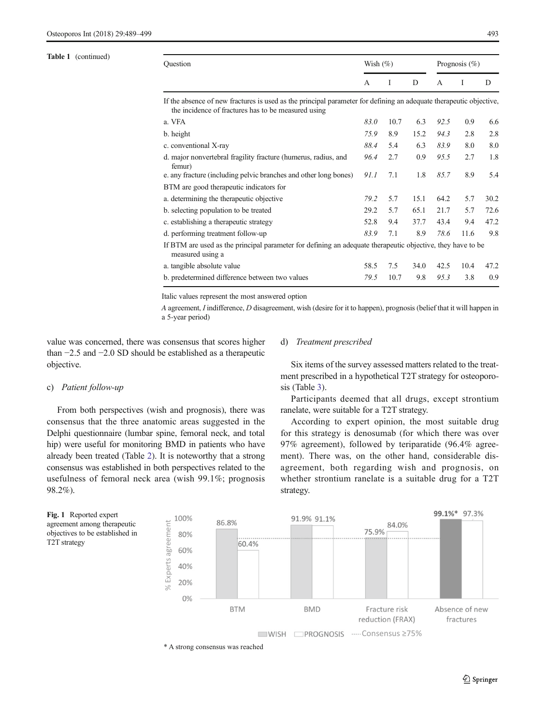#### <span id="page-4-0"></span>Table 1 (continued)

| Question                                                                                                                                                                  |      | Wish $(\%)$ |      |      | Prognosis $(\%)$ |      |  |
|---------------------------------------------------------------------------------------------------------------------------------------------------------------------------|------|-------------|------|------|------------------|------|--|
|                                                                                                                                                                           |      | Ι           | D    | A    | Ι                | D    |  |
| If the absence of new fractures is used as the principal parameter for defining an adequate therapeutic objective,<br>the incidence of fractures has to be measured using |      |             |      |      |                  |      |  |
| a. VFA                                                                                                                                                                    | 83.0 | 10.7        | 6.3  | 92.5 | 0.9              | 6.6  |  |
| b. height                                                                                                                                                                 | 75.9 | 8.9         | 15.2 | 94.3 | 2.8              | 2.8  |  |
| c. conventional X-ray                                                                                                                                                     | 88.4 | 5.4         | 6.3  | 83.9 | 8.0              | 8.0  |  |
| d. major nonvertebral fragility fracture (humerus, radius, and<br>femur)                                                                                                  |      | 2.7         | 0.9  | 95.5 | 2.7              | 1.8  |  |
| e. any fracture (including pelvic branches and other long bones)                                                                                                          | 91.1 | 7.1         | 1.8  | 85.7 | 8.9              | 5.4  |  |
| BTM are good therapeutic indicators for                                                                                                                                   |      |             |      |      |                  |      |  |
| a. determining the therapeutic objective                                                                                                                                  | 79.2 | 5.7         | 15.1 | 64.2 | 5.7              | 30.2 |  |
| b. selecting population to be treated                                                                                                                                     |      | 5.7         | 65.1 | 21.7 | 5.7              | 72.6 |  |
| c. establishing a therapeutic strategy                                                                                                                                    |      | 9.4         | 37.7 | 43.4 | 9.4              | 47.2 |  |
| d. performing treatment follow-up                                                                                                                                         | 83.9 | 7.1         | 8.9  | 78.6 | 11.6             | 9.8  |  |
| If BTM are used as the principal parameter for defining an adequate therapeutic objective, they have to be<br>measured using a                                            |      |             |      |      |                  |      |  |
| a. tangible absolute value                                                                                                                                                | 58.5 | 7.5         | 34.0 | 42.5 | 10.4             | 47.2 |  |
| b. predetermined difference between two values                                                                                                                            | 79.5 | 10.7        | 9.8  | 95.3 | 3.8              | 0.9  |  |

Italic values represent the most answered option

A agreement, I indifference, D disagreement, wish (desire for it to happen), prognosis (belief that it will happen in a 5-year period)

value was concerned, there was consensus that scores higher than −2.5 and −2.0 SD should be established as a therapeutic objective.

#### c) Patient follow-up

From both perspectives (wish and prognosis), there was consensus that the three anatomic areas suggested in the Delphi questionnaire (lumbar spine, femoral neck, and total hip) were useful for monitoring BMD in patients who have already been treated (Table [2\)](#page-5-0). It is noteworthy that a strong consensus was established in both perspectives related to the usefulness of femoral neck area (wish 99.1%; prognosis 98.2%).

#### d) Treatment prescribed

Six items of the survey assessed matters related to the treatment prescribed in a hypothetical T2T strategy for osteoporosis (Table [3\)](#page-5-0).

Participants deemed that all drugs, except strontium ranelate, were suitable for a T2T strategy.

According to expert opinion, the most suitable drug for this strategy is denosumab (for which there was over 97% agreement), followed by teriparatide (96.4% agreement). There was, on the other hand, considerable disagreement, both regarding wish and prognosis, on whether strontium ranelate is a suitable drug for a T2T strategy.





2 Springer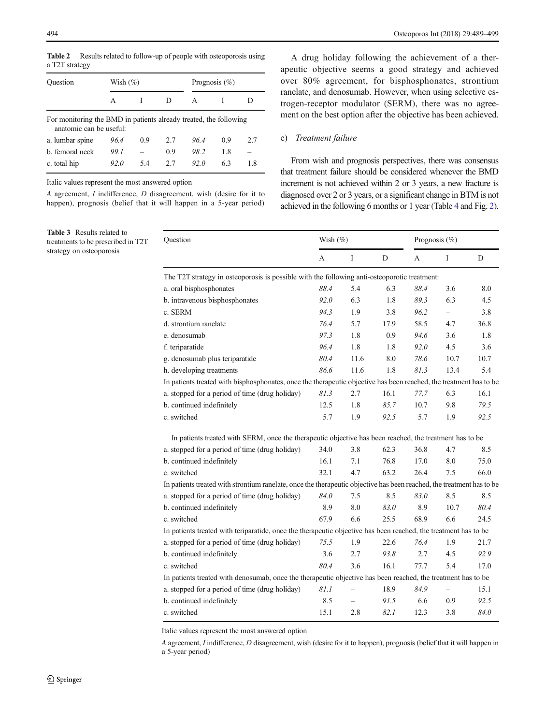<span id="page-5-0"></span>Table 2 Results related to follow-up of people with osteoporosis using a T2T strategy

| Ouestion                                                                                     | Wish $(\%)$ |     |     |      | Prognosis $(\% )$ |     |
|----------------------------------------------------------------------------------------------|-------------|-----|-----|------|-------------------|-----|
|                                                                                              | A           |     | Ð   | A    |                   | Ð   |
| For monitoring the BMD in patients already treated, the following<br>anatomic can be useful: |             |     |     |      |                   |     |
| a. lumbar spine                                                                              | 96.4        | 0.9 | 2.7 | 964  | 0.9               | 2.7 |
| b. femoral neck                                                                              | 99.1        |     | 0.9 | 98.2 | 1.8               |     |
| c. total hip                                                                                 | 92.0        | 5.4 | 27  | 92 O | 63                | 1.8 |

Italic values represent the most answered option

A agreement, I indifference, D disagreement, wish (desire for it to happen), prognosis (belief that it will happen in a 5-year period)

Table 3 Results related to treatments to be prescribed in T2T strategy on osteoporosis

A drug holiday following the achievement of a therapeutic objective seems a good strategy and achieved over 80% agreement, for bisphosphonates, strontium ranelate, and denosumab. However, when using selective estrogen-receptor modulator (SERM), there was no agreement on the best option after the objective has been achieved.

#### e) Treatment failure

From wish and prognosis perspectives, there was consensus that treatment failure should be considered whenever the BMD increment is not achieved within 2 or 3 years, a new fracture is diagnosed over 2 or 3 years, or a significant change in BTM is not achieved in the following 6 months or 1 year (Table [4](#page-6-0) and Fig. [2\)](#page-6-0).

| Question                                                                                                              | Wish $(\%)$ |      |      | Prognosis $(\%)$ |          |      |
|-----------------------------------------------------------------------------------------------------------------------|-------------|------|------|------------------|----------|------|
|                                                                                                                       | A           | Ι    | D    | А                | Ι        | D    |
| The T2T strategy in osteoporosis is possible with the following anti-osteoporotic treatment:                          |             |      |      |                  |          |      |
| a. oral bisphosphonates                                                                                               | 88.4        | 5.4  | 6.3  | 88.4             | 3.6      | 8.0  |
| b. intravenous bisphosphonates                                                                                        | 92.0        | 6.3  | 1.8  | 89.3             | 6.3      | 4.5  |
| c. SERM                                                                                                               | 94.3        | 1.9  | 3.8  | 96.2             | $\equiv$ | 3.8  |
| d. strontium ranelate                                                                                                 | 76.4        | 5.7  | 17.9 | 58.5             | 4.7      | 36.8 |
| e. denosumab                                                                                                          | 97.3        | 1.8  | 0.9  | 94.6             | 3.6      | 1.8  |
| f. teriparatide                                                                                                       | 96.4        | 1.8  | 1.8  | 92.0             | 4.5      | 3.6  |
| g. denosumab plus teriparatide                                                                                        | 80.4        | 11.6 | 8.0  | 78.6             | 10.7     | 10.7 |
| h. developing treatments                                                                                              | 86.6        | 11.6 | 1.8  | 81.3             | 13.4     | 5.4  |
| In patients treated with bisphosphonates, once the therapeutic objective has been reached, the treatment has to be    |             |      |      |                  |          |      |
| a. stopped for a period of time (drug holiday)                                                                        | 81.3        | 2.7  | 16.1 | 77.7             | 6.3      | 16.1 |
| b. continued indefinitely                                                                                             | 12.5        | 1.8  | 85.7 | 10.7             | 9.8      | 79.5 |
| c. switched                                                                                                           | 5.7         | 1.9  | 92.5 | 5.7              | 1.9      | 92.5 |
| In patients treated with SERM, once the therapeutic objective has been reached, the treatment has to be               |             |      |      |                  |          |      |
| a. stopped for a period of time (drug holiday)                                                                        | 34.0        | 3.8  | 62.3 | 36.8             | 4.7      | 8.5  |
| b. continued indefinitely                                                                                             | 16.1        | 7.1  | 76.8 | 17.0             | 8.0      | 75.0 |
| c. switched                                                                                                           | 32.1        | 4.7  | 63.2 | 26.4             | 7.5      | 66.0 |
| In patients treated with strontium ranelate, once the therapeutic objective has been reached, the treatment has to be |             |      |      |                  |          |      |
| a. stopped for a period of time (drug holiday)                                                                        | 84.0        | 7.5  | 8.5  | 83.0             | 8.5      | 8.5  |
| b. continued indefinitely                                                                                             | 8.9         | 8.0  | 83.0 | 8.9              | 10.7     | 80.4 |
| c. switched                                                                                                           | 67.9        | 6.6  | 25.5 | 68.9             | 6.6      | 24.5 |
| In patients treated with teriparatide, once the therapeutic objective has been reached, the treatment has to be       |             |      |      |                  |          |      |
| a. stopped for a period of time (drug holiday)                                                                        | 75.5        | 1.9  | 22.6 | 76.4             | 1.9      | 21.7 |
| b. continued indefinitely                                                                                             | 3.6         | 2.7  | 93.8 | 2.7              | 4.5      | 92.9 |
| c. switched                                                                                                           | 80.4        | 3.6  | 16.1 | 77.7             | 5.4      | 17.0 |
| In patients treated with denosumab, once the therapeutic objective has been reached, the treatment has to be          |             |      |      |                  |          |      |
| a. stopped for a period of time (drug holiday)                                                                        | 81.1        |      | 18.9 | 84.9             |          | 15.1 |
| b. continued indefinitely                                                                                             | 8.5         |      | 91.5 | 6.6              | 0.9      | 92.5 |
| c. switched                                                                                                           | 15.1        | 2.8  | 82.1 | 12.3             | 3.8      | 84.0 |

Italic values represent the most answered option

A agreement, I indifference, D disagreement, wish (desire for it to happen), prognosis (belief that it will happen in a 5-year period)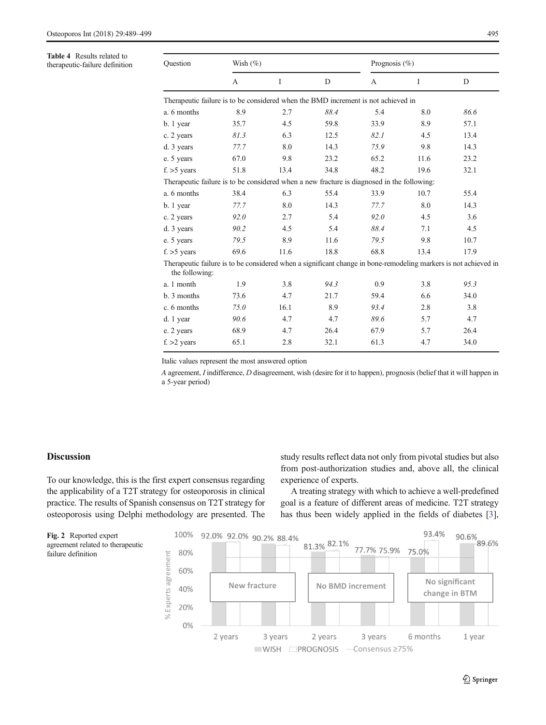<span id="page-6-0"></span>Table 4 Results related to therapeutic-failure definition

| Ouestion                                                                                                                          | Wish $(\%)$                                                                                |      |      |      | Prognosis (%) |      |  |  |  |
|-----------------------------------------------------------------------------------------------------------------------------------|--------------------------------------------------------------------------------------------|------|------|------|---------------|------|--|--|--|
|                                                                                                                                   | A                                                                                          | I    | D    | A    | $\mathbf{I}$  | D    |  |  |  |
| Therapeutic failure is to be considered when the BMD increment is not achieved in                                                 |                                                                                            |      |      |      |               |      |  |  |  |
| a. 6 months                                                                                                                       | 8.9                                                                                        | 2.7  | 88.4 | 5.4  | 8.0           | 86.6 |  |  |  |
| b. 1 year                                                                                                                         | 35.7                                                                                       | 4.5  | 59.8 | 33.9 | 8.9           | 57.1 |  |  |  |
| c. 2 years                                                                                                                        | 81.3                                                                                       | 6.3  | 12.5 | 82.1 | 4.5           | 13.4 |  |  |  |
| d. 3 years                                                                                                                        | 77.7                                                                                       | 8.0  | 14.3 | 75.9 | 9.8           | 14.3 |  |  |  |
| e. 5 years                                                                                                                        | 67.0                                                                                       | 9.8  | 23.2 | 65.2 | 11.6          | 23.2 |  |  |  |
| $f_{\rm s}$ > 5 years                                                                                                             | 51.8                                                                                       | 13.4 | 34.8 | 48.2 | 19.6          | 32.1 |  |  |  |
|                                                                                                                                   | Therapeutic failure is to be considered when a new fracture is diagnosed in the following: |      |      |      |               |      |  |  |  |
| a. 6 months                                                                                                                       | 38.4                                                                                       | 6.3  | 55.4 | 33.9 | 10.7          | 55.4 |  |  |  |
| b. 1 year                                                                                                                         | 77.7                                                                                       | 8.0  | 14.3 | 77.7 | 8.0           | 14.3 |  |  |  |
| c. 2 years                                                                                                                        | 92.0                                                                                       | 2.7  | 5.4  | 92.0 | 4.5           | 3.6  |  |  |  |
| d. 3 years                                                                                                                        | 90.2                                                                                       | 4.5  | 5.4  | 88.4 | 7.1           | 4.5  |  |  |  |
| e. 5 years                                                                                                                        | 79.5                                                                                       | 8.9  | 11.6 | 79.5 | 9.8           | 10.7 |  |  |  |
| $f_{\rm s}$ > 5 years                                                                                                             | 69.6                                                                                       | 11.6 | 18.8 | 68.8 | 13.4          | 17.9 |  |  |  |
| Therapeutic failure is to be considered when a significant change in bone-remodeling markers is not achieved in<br>the following: |                                                                                            |      |      |      |               |      |  |  |  |
| a. 1 month                                                                                                                        | 1.9                                                                                        | 3.8  | 94.3 | 0.9  | 3.8           | 95.3 |  |  |  |
| b. 3 months                                                                                                                       | 73.6                                                                                       | 4.7  | 21.7 | 59.4 | 6.6           | 34.0 |  |  |  |
| c. 6 months                                                                                                                       | 75.0                                                                                       | 16.1 | 8.9  | 93.4 | 2.8           | 3.8  |  |  |  |
| d. 1 year                                                                                                                         | 90.6                                                                                       | 4.7  | 4.7  | 89.6 | 5.7           | 4.7  |  |  |  |
| e. 2 years                                                                                                                        | 68.9                                                                                       | 4.7  | 26.4 | 67.9 | 5.7           | 26.4 |  |  |  |
| $f_{\rm z}$ > 2 years                                                                                                             | 65.1                                                                                       | 2.8  | 32.1 | 61.3 | 4.7           | 34.0 |  |  |  |

Italic values represent the most answered option

A agreement, I indifference, D disagreement, wish (desire for it to happen), prognosis (belief that it will happen in a 5-year period)

## Discussion

To our knowledge, this is the first expert consensus regarding the applicability of a T2T strategy for osteoporosis in clinical practice. The results of Spanish consensus on T2T strategy for osteoporosis using Delphi methodology are presented. The study results reflect data not only from pivotal studies but also from post-authorization studies and, above all, the clinical experience of experts.

A treating strategy with which to achieve a well-predefined goal is a feature of different areas of medicine. T2T strategy has thus been widely applied in the fields of diabetes [[3\]](#page-9-0),

Fig. 2 Reported expert agreement related to therapeutic failure definition

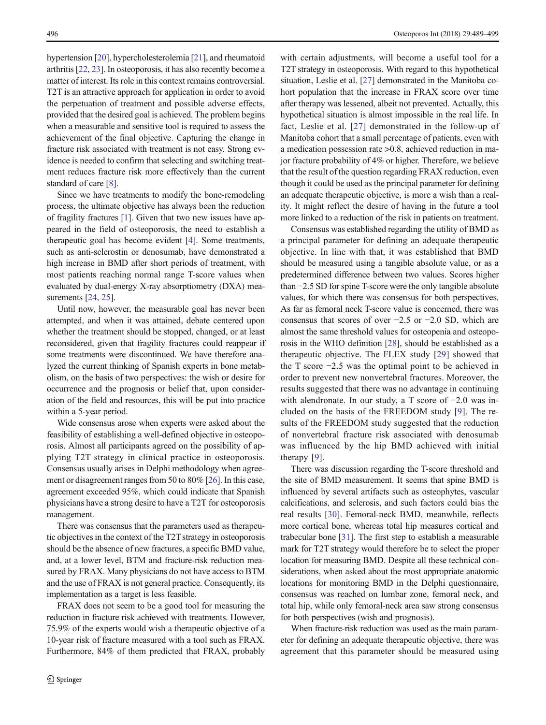hypertension [\[20\]](#page-9-0), hypercholesterolemia [[21](#page-9-0)], and rheumatoid arthritis [[22,](#page-10-0) [23\]](#page-10-0). In osteoporosis, it has also recently become a matter of interest. Its role in this context remains controversial. T2T is an attractive approach for application in order to avoid the perpetuation of treatment and possible adverse effects, provided that the desired goal is achieved. The problem begins when a measurable and sensitive tool is required to assess the achievement of the final objective. Capturing the change in fracture risk associated with treatment is not easy. Strong evidence is needed to confirm that selecting and switching treatment reduces fracture risk more effectively than the current standard of care [[8\]](#page-9-0).

Since we have treatments to modify the bone-remodeling process, the ultimate objective has always been the reduction of fragility fractures [\[1](#page-9-0)]. Given that two new issues have appeared in the field of osteoporosis, the need to establish a therapeutic goal has become evident [[4\]](#page-9-0). Some treatments, such as anti-sclerostin or denosumab, have demonstrated a high increase in BMD after short periods of treatment, with most patients reaching normal range T-score values when evaluated by dual-energy X-ray absorptiometry (DXA) mea-surements [\[24,](#page-10-0) [25\]](#page-10-0).

Until now, however, the measurable goal has never been attempted, and when it was attained, debate centered upon whether the treatment should be stopped, changed, or at least reconsidered, given that fragility fractures could reappear if some treatments were discontinued. We have therefore analyzed the current thinking of Spanish experts in bone metabolism, on the basis of two perspectives: the wish or desire for occurrence and the prognosis or belief that, upon consideration of the field and resources, this will be put into practice within a 5-year period.

Wide consensus arose when experts were asked about the feasibility of establishing a well-defined objective in osteoporosis. Almost all participants agreed on the possibility of applying T2T strategy in clinical practice in osteoporosis. Consensus usually arises in Delphi methodology when agreement or disagreement ranges from 50 to 80% [\[26](#page-10-0)]. In this case, agreement exceeded 95%, which could indicate that Spanish physicians have a strong desire to have a T2T for osteoporosis management.

There was consensus that the parameters used as therapeutic objectives in the context of the T2T strategy in osteoporosis should be the absence of new fractures, a specific BMD value, and, at a lower level, BTM and fracture-risk reduction measured by FRAX. Many physicians do not have access to BTM and the use of FRAX is not general practice. Consequently, its implementation as a target is less feasible.

FRAX does not seem to be a good tool for measuring the reduction in fracture risk achieved with treatments. However, 75.9% of the experts would wish a therapeutic objective of a 10-year risk of fracture measured with a tool such as FRAX. Furthermore, 84% of them predicted that FRAX, probably with certain adjustments, will become a useful tool for a T2T strategy in osteoporosis. With regard to this hypothetical situation, Leslie et al. [\[27\]](#page-10-0) demonstrated in the Manitoba cohort population that the increase in FRAX score over time after therapy was lessened, albeit not prevented. Actually, this hypothetical situation is almost impossible in the real life. In fact, Leslie et al. [[27](#page-10-0)] demonstrated in the follow-up of Manitoba cohort that a small percentage of patients, even with a medication possession rate >0.8, achieved reduction in major fracture probability of 4% or higher. Therefore, we believe that the result of the question regarding FRAX reduction, even though it could be used as the principal parameter for defining an adequate therapeutic objective, is more a wish than a reality. It might reflect the desire of having in the future a tool more linked to a reduction of the risk in patients on treatment.

Consensus was established regarding the utility of BMD as a principal parameter for defining an adequate therapeutic objective. In line with that, it was established that BMD should be measured using a tangible absolute value, or as a predetermined difference between two values. Scores higher than −2.5 SD for spine T-score were the only tangible absolute values, for which there was consensus for both perspectives. As far as femoral neck T-score value is concerned, there was consensus that scores of over −2.5 or −2.0 SD, which are almost the same threshold values for osteopenia and osteoporosis in the WHO definition [\[28\]](#page-10-0), should be established as a therapeutic objective. The FLEX study [[29\]](#page-10-0) showed that the T score −2.5 was the optimal point to be achieved in order to prevent new nonvertebral fractures. Moreover, the results suggested that there was no advantage in continuing with alendronate. In our study, a T score of −2.0 was included on the basis of the FREEDOM study [\[9](#page-9-0)]. The results of the FREEDOM study suggested that the reduction of nonvertebral fracture risk associated with denosumab was influenced by the hip BMD achieved with initial therapy [\[9](#page-9-0)].

There was discussion regarding the T-score threshold and the site of BMD measurement. It seems that spine BMD is influenced by several artifacts such as osteophytes, vascular calcifications, and sclerosis, and such factors could bias the real results [[30\]](#page-10-0). Femoral-neck BMD, meanwhile, reflects more cortical bone, whereas total hip measures cortical and trabecular bone [[31](#page-10-0)]. The first step to establish a measurable mark for T2T strategy would therefore be to select the proper location for measuring BMD. Despite all these technical considerations, when asked about the most appropriate anatomic locations for monitoring BMD in the Delphi questionnaire, consensus was reached on lumbar zone, femoral neck, and total hip, while only femoral-neck area saw strong consensus for both perspectives (wish and prognosis).

When fracture-risk reduction was used as the main parameter for defining an adequate therapeutic objective, there was agreement that this parameter should be measured using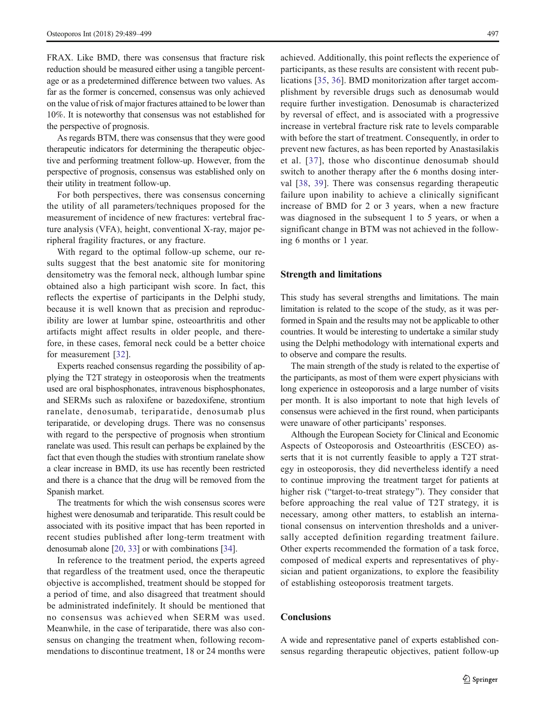FRAX. Like BMD, there was consensus that fracture risk reduction should be measured either using a tangible percentage or as a predetermined difference between two values. As far as the former is concerned, consensus was only achieved on the value of risk of major fractures attained to be lower than 10%. It is noteworthy that consensus was not established for the perspective of prognosis.

As regards BTM, there was consensus that they were good therapeutic indicators for determining the therapeutic objective and performing treatment follow-up. However, from the perspective of prognosis, consensus was established only on their utility in treatment follow-up.

For both perspectives, there was consensus concerning the utility of all parameters/techniques proposed for the measurement of incidence of new fractures: vertebral fracture analysis (VFA), height, conventional X-ray, major peripheral fragility fractures, or any fracture.

With regard to the optimal follow-up scheme, our results suggest that the best anatomic site for monitoring densitometry was the femoral neck, although lumbar spine obtained also a high participant wish score. In fact, this reflects the expertise of participants in the Delphi study, because it is well known that as precision and reproducibility are lower at lumbar spine, osteoarthritis and other artifacts might affect results in older people, and therefore, in these cases, femoral neck could be a better choice for measurement [[32\]](#page-10-0).

Experts reached consensus regarding the possibility of applying the T2T strategy in osteoporosis when the treatments used are oral bisphosphonates, intravenous bisphosphonates, and SERMs such as raloxifene or bazedoxifene, strontium ranelate, denosumab, teriparatide, denosumab plus teriparatide, or developing drugs. There was no consensus with regard to the perspective of prognosis when strontium ranelate was used. This result can perhaps be explained by the fact that even though the studies with strontium ranelate show a clear increase in BMD, its use has recently been restricted and there is a chance that the drug will be removed from the Spanish market.

The treatments for which the wish consensus scores were highest were denosumab and teriparatide. This result could be associated with its positive impact that has been reported in recent studies published after long-term treatment with denosumab alone [[20,](#page-9-0) [33](#page-10-0)] or with combinations [[34\]](#page-10-0).

In reference to the treatment period, the experts agreed that regardless of the treatment used, once the therapeutic objective is accomplished, treatment should be stopped for a period of time, and also disagreed that treatment should be administrated indefinitely. It should be mentioned that no consensus was achieved when SERM was used. Meanwhile, in the case of teriparatide, there was also consensus on changing the treatment when, following recommendations to discontinue treatment, 18 or 24 months were

achieved. Additionally, this point reflects the experience of participants, as these results are consistent with recent publications [\[35,](#page-10-0) [36\]](#page-10-0). BMD monitorization after target accomplishment by reversible drugs such as denosumab would require further investigation. Denosumab is characterized by reversal of effect, and is associated with a progressive increase in vertebral fracture risk rate to levels comparable with before the start of treatment. Consequently, in order to prevent new factures, as has been reported by Anastasilakis et al. [[37\]](#page-10-0), those who discontinue denosumab should switch to another therapy after the 6 months dosing interval [[38](#page-10-0), [39](#page-10-0)]. There was consensus regarding therapeutic failure upon inability to achieve a clinically significant increase of BMD for 2 or 3 years, when a new fracture was diagnosed in the subsequent 1 to 5 years, or when a significant change in BTM was not achieved in the following 6 months or 1 year.

## Strength and limitations

This study has several strengths and limitations. The main limitation is related to the scope of the study, as it was performed in Spain and the results may not be applicable to other countries. It would be interesting to undertake a similar study using the Delphi methodology with international experts and to observe and compare the results.

The main strength of the study is related to the expertise of the participants, as most of them were expert physicians with long experience in osteoporosis and a large number of visits per month. It is also important to note that high levels of consensus were achieved in the first round, when participants were unaware of other participants' responses.

Although the European Society for Clinical and Economic Aspects of Osteoporosis and Osteoarthritis (ESCEO) asserts that it is not currently feasible to apply a T2T strategy in osteoporosis, they did nevertheless identify a need to continue improving the treatment target for patients at higher risk ("target-to-treat strategy"). They consider that before approaching the real value of T2T strategy, it is necessary, among other matters, to establish an international consensus on intervention thresholds and a universally accepted definition regarding treatment failure. Other experts recommended the formation of a task force, composed of medical experts and representatives of physician and patient organizations, to explore the feasibility of establishing osteoporosis treatment targets.

## **Conclusions**

A wide and representative panel of experts established consensus regarding therapeutic objectives, patient follow-up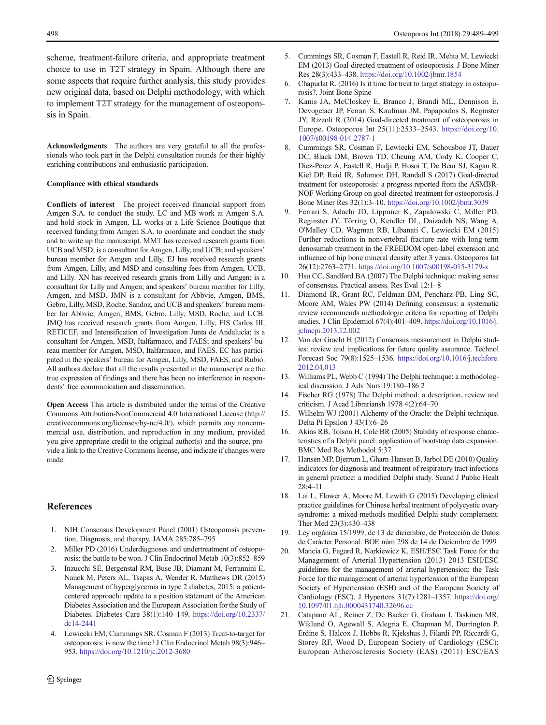<span id="page-9-0"></span>scheme, treatment-failure criteria, and appropriate treatment choice to use in T2T strategy in Spain. Although there are some aspects that require further analysis, this study provides new original data, based on Delphi methodology, with which to implement T2T strategy for the management of osteoporosis in Spain.

Acknowledgments The authors are very grateful to all the professionals who took part in the Delphi consultation rounds for their highly enriching contributions and enthusiastic participation.

#### Compliance with ethical standards

Conflicts of interest The project received financial support from Amgen S.A. to conduct the study. LC and MB work at Amgen S.A. and hold stock in Amgen. LL works at a Life Science Boutique that received funding from Amgen S.A. to coordinate and conduct the study and to write up the manuscript. MMT has received research grants from UCB and MSD; is a consultant for Amgen, Lilly, and UCB; and speakers' bureau member for Amgen and Lilly. EJ has received research grants from Amgen, Lilly, and MSD and consulting fees from Amgen, UCB, and Lilly. XN has received research grants from Lilly and Amgen; is a consultant for Lilly and Amgen; and speakers' bureau member for Lilly, Amgen, and MSD. JMN is a consultant for Abbvie, Amgen, BMS, Gebro, Lilly, MSD, Roche, Sandoz, and UCB and speakers' bureau member for Abbvie, Amgen, BMS, Gebro, Lilly, MSD, Roche, and UCB. JMQ has received research grants from Amgen, Lilly, FIS Carlos III, RETICEF, and Intensification of Investigation Junta de Andalucía; is a consultant for Amgen, MSD, Italfarmaco, and FAES; and speakers' bureau member for Amgen, MSD, Italfarmaco, and FAES. EC has participated in the speakers' bureau for Amgen, Lilly, MSD, FAES, and Rubió. All authors declare that all the results presented in the manuscript are the true expression of findings and there has been no interference in respondents' free communication and dissemination.

Open Access This article is distributed under the terms of the Creative Commons Attribution-NonCommercial 4.0 International License (http:// creativecommons.org/licenses/by-nc/4.0/), which permits any noncommercial use, distribution, and reproduction in any medium, provided you give appropriate credit to the original author(s) and the source, provide a link to the Creative Commons license, and indicate if changes were made.

### References

- 1. NIH Consensus Development Panel (2001) Osteoporosis prevention, Diagnosis, and therapy. JAMA 285:785–795
- 2. Miller PD (2016) Underdiagnoses and undertreatment of osteoporosis: the battle to be won. J Clin Endocrinol Metab 10(3):852–859
- 3. Inzucchi SE, Bergenstal RM, Buse JB, Diamant M, Ferrannini E, Nauck M, Peters AL, Tsapas A, Wender R, Matthews DR (2015) Management of hyperglycemia in type 2 diabetes, 2015: a patientcentered approach: update to a position statement of the American Diabetes Association and the European Association for the Study of Diabetes. Diabetes Care 38(1):140–149. [https://doi.org/10.2337/](https://doi.org/10.2337/dc14-2441) [dc14-2441](https://doi.org/10.2337/dc14-2441)
- 4. Lewiecki EM, Cummings SR, Cosman F (2013) Treat-to-target for osteoporosis: is now the time? J Clin Endocrinol Metab 98(3):946– 953. <https://doi.org/10.1210/jc.2012-3680>
- 5. Cummings SR, Cosman F, Eastell R, Reid IR, Mehta M, Lewiecki EM (2013) Goal-directed treatment of osteoporosis. J Bone Miner Res 28(3):433–438. <https://doi.org/10.1002/jbmr.1854>
- 6. Chapurlat R. (2016) Is it time for treat to target strategy in osteoporosis?. Joint Bone Spine
- 7. Kanis JA, McCloskey E, Branco J, Brandi ML, Dennison E, Devogelaer JP, Ferrari S, Kaufman JM, Papapoulos S, Reginster JY, Rizzoli R (2014) Goal-directed treatment of osteoporosis in Europe. Osteoporos Int 25(11):2533–2543. [https://doi.org/10.](https://doi.org/10.1007/s00198-014-2787-1) [1007/s00198-014-2787-1](https://doi.org/10.1007/s00198-014-2787-1)
- 8. Cummings SR, Cosman F, Lewiecki EM, Schousboe JT, Bauer DC, Black DM, Brown TD, Cheung AM, Cody K, Cooper C, Diez-Perez A, Eastell R, Hadji P, Hosoi T, De Beur SJ, Kagan R, Kiel DP, Reid IR, Solomon DH, Randall S (2017) Goal-directed treatment for osteoporosis: a progress reported from the ASMBR-NOF Working Group on goal-directed treatment for osteoporosis. J Bone Miner Res 32(1):3–10. <https://doi.org/10.1002/jbmr.3039>
- 9. Ferrari S, Adachi JD, Lippuner K, Zapalowski C, Miller PD, Reginster JY, Törring O, Kendler DL, Daizadeh NS, Wang A, O'Malley CD, Wagman RB, Libanati C, Lewiecki EM (2015) Further reductions in nonvertebral fracture rate with long-term denosumab treatment in the FREEDOM open-label extension and influence of hip bone mineral density after 3 years. Osteoporos Int 26(12):2763–2771. <https://doi.org/10.1007/s00198-015-3179-x>
- 10. Hsu CC, Sandford BA (2007) The Delphi technique: making sense of consensus. Practical assess. Res Eval 12:1–8
- Diamond IR, Grant RC, Feldman BM, Pencharz PB, Ling SC, Moore AM, Wales PW (2014) Defining consensus: a systematic review recommends methodologic criteria for reporting of Delphi studies. J Clin Epidemiol 67(4):401–409. [https://doi.org/10.1016/j.](https://doi.org/10.1016/j.jclinepi.2013.12.002) [jclinepi.2013.12.002](https://doi.org/10.1016/j.jclinepi.2013.12.002)
- 12. Von der Gracht H (2012) Consensus measurement in Delphi studies: review and implications for future quality assurance. Technol Forecast Soc 79(8):1525–1536. [https://doi.org/10.1016/j.techfore.](https://doi.org/10.1016/j.techfore.2012.04.013) [2012.04.013](https://doi.org/10.1016/j.techfore.2012.04.013)
- 13. Williams PL, Webb C (1994) The Delphi technique: a methodological discussion. J Adv Nurs 19:180–186 2
- 14. Fischer RG (1978) The Delphi method: a description, review and criticism. J Acad Librariansh 1978 4(2):64–70
- 15. Wilhelm WJ (2001) Alchemy of the Oracle: the Delphi technique. Delta Pi Epsilon J 43(1):6–26
- 16. Akins RB, Tolson H, Cole BR (2005) Stability of response characteristics of a Delphi panel: application of bootstrap data expansion. BMC Med Res Methodol 5:37
- 17. Hansen MP, Bjerrum L, Gharn-Hansen B, Jarbol DE (2010) Quality indicators for diagnosis and treatment of respiratory tract infections in general practice: a modified Delphi study. Scand J Public Healt 28:4–11
- 18. Lai L, Flower A, Moore M, Lewith G (2015) Developing clinical practice guidelines for Chinese herbal treatment of polycystic ovary syndrome: a mixed-methods modified Delphi study complement. Ther Med 23(3):430–438
- 19. Ley orgánica 15/1999, de 13 de diciembre, de Protección de Datos de Carácter Personal. BOE núm 298 de 14 de Diciembre de 1999
- 20. Mancia G, Fagard R, Narkiewicz K, ESH/ESC Task Force for the Management of Arterial Hypertension (2013) 2013 ESH/ESC guidelines for the management of arterial hypertension: the Task Force for the management of arterial hypertension of the European Society of Hypertension (ESH) and of the European Society of Cardiology (ESC). J Hypertens 31(7):1281–1357. [https://doi.org/](https://doi.org/10.1097/01.hjh.0000431740.32696.cc) [10.1097/01.hjh.0000431740.32696.cc](https://doi.org/10.1097/01.hjh.0000431740.32696.cc)
- 21. Catapano AL, Reiner Z, De Backer G, Graham I, Taskinen MR, Wiklund O, Agewall S, Alegria E, Chapman M, Durrington P, Erdine S, Halcox J, Hobbs R, Kjekshus J, Filardi PP, Riccardi G, Storey RF, Wood D, European Society of Cardiology (ESC); European Atherosclerosis Society (EAS) (2011) ESC/EAS